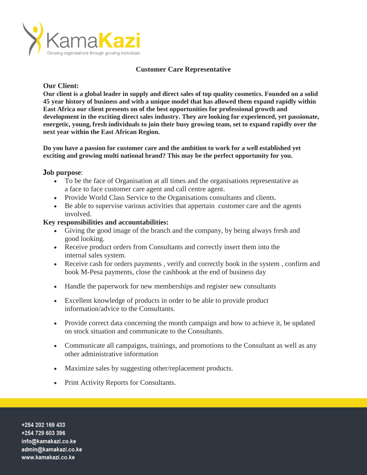

## **Customer Care Representative**

## **Our Client:**

**Our client is a global leader in supply and direct sales of top quality cosmetics. Founded on a solid 45 year history of business and with a unique model that has allowed them expand rapidly within East Africa our client presents on of the best opportunities for professional growth and development in the exciting direct sales industry. They are looking for experienced, yet passionate, energetic, young, fresh individuals to join their busy growing team, set to expand rapidly over the next year within the East African Region.** 

**Do you have a passion for customer care and the ambition to work for a well established yet exciting and growing multi national brand? This may be the perfect opportunity for you.** 

## **Job purpose**:

- To be the face of Organisation at all times and the organisations representative as a face to face customer care agent and call centre agent.
- Provide World Class Service to the Organisations consultants and clients.
- Be able to supervise various activities that appertain customer care and the agents involved.

#### **Key responsibilities and accountabilities:**

- Giving the good image of the branch and the company, by being always fresh and good looking.
- Receive product orders from Consultants and correctly insert them into the internal sales system.
- Receive cash for orders payments , verify and correctly book in the system , confirm and book M-Pesa payments, close the cashbook at the end of business day
- Handle the paperwork for new memberships and register new consultants
- Excellent knowledge of products in order to be able to provide product information/advice to the Consultants.
- Provide correct data concerning the month campaign and how to achieve it, be updated on stock situation and communicate to the Consultants.
- Communicate all campaigns, trainings, and promotions to the Consultant as well as any other administrative information
- Maximize sales by suggesting other/replacement products.
- Print Activity Reports for Consultants.

+254 202 169 433 +254 729 603 396 info@kamakazi.co.ke admin@kamakazi.co.ke www.kamakazi.co.ke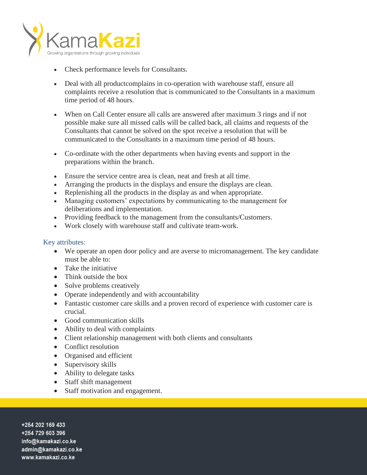

- Check performance levels for Consultants.
- Deal with all productcomplains in co-operation with warehouse staff, ensure all complaints receive a resolution that is communicated to the Consultants in a maximum time period of 48 hours.
- When on Call Center ensure all calls are answered after maximum 3 rings and if not possible make sure all missed calls will be called back, all claims and requests of the Consultants that cannot be solved on the spot receive a resolution that will be communicated to the Consultants in a maximum time period of 48 hours.
- Co-ordinate with the other departments when having events and support in the preparations within the branch.
- Ensure the service centre area is clean, neat and fresh at all time.
- Arranging the products in the displays and ensure the displays are clean.
- Replenishing all the products in the display as and when appropriate.
- Managing customers' expectations by communicating to the management for deliberations and implementation.
- Providing feedback to the management from the consultants/Customers.
- Work closely with warehouse staff and cultivate team-work.

## Key attributes:

- We operate an open door policy and are averse to micromanagement. The key candidate must be able to:
- Take the initiative
- Think outside the box
- Solve problems creatively
- Operate independently and with accountability
- Fantastic customer care skills and a proven record of experience with customer care is crucial.
- Good communication skills
- Ability to deal with complaints
- Client relationship management with both clients and consultants
- Conflict resolution
- Organised and efficient
- Supervisory skills
- Ability to delegate tasks
- Staff shift management
- Staff motivation and engagement.

+254 202 169 433 +254 729 603 396 info@kamakazi.co.ke admin@kamakazi.co.ke www.kamakazi.co.ke